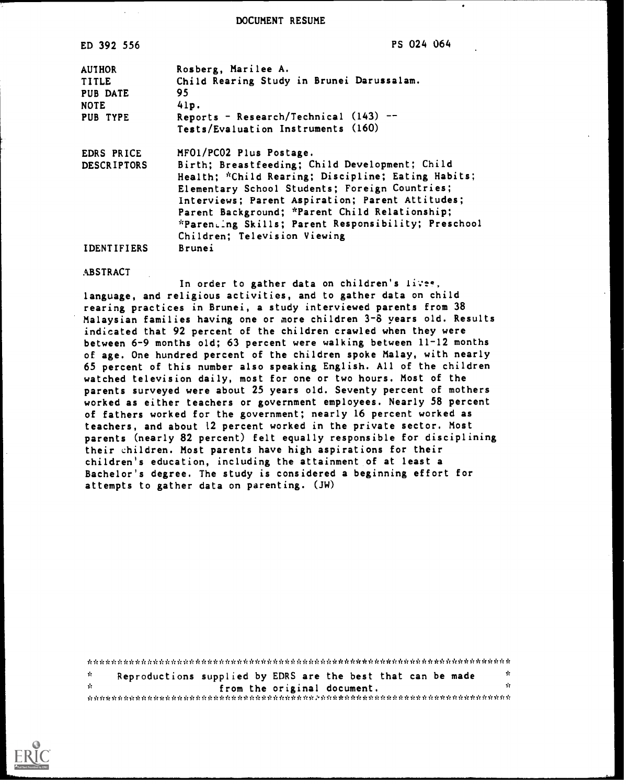DOCUMENT RESUME

| ED 392 556         | <b>PS 024 064</b>                                   |
|--------------------|-----------------------------------------------------|
| <b>AUTHOR</b>      | Rosberg, Marilee A.                                 |
| <b>TITLE</b>       | Child Rearing Study in Brunei Darussalam.           |
| PUB DATE           | 95                                                  |
| <b>NOTE</b>        | 41p.                                                |
| PUB TYPE           | Reports - Research/Technical $(143)$ --             |
|                    | Tests/Evaluation Instruments (160)                  |
| <b>EDRS PRICE</b>  | MFO1/PC02 Plus Postage.                             |
| <b>DESCRIPTORS</b> | Birth; Breastfeeding; Child Development; Child      |
|                    | Health; *Child Rearing; Discipline; Eating Habits;  |
|                    | Elementary School Students; Foreign Countries;      |
|                    | Interviews; Parent Aspiration; Parent Attitudes;    |
|                    | Parent Background; *Parent Child Relationship;      |
|                    | *Parenting Skills; Parent Responsibility; Preschool |
|                    | Children; Television Viewing                        |
| <b>IDENTIFIERS</b> | Brunei                                              |

**ABSTRACT** 

In order to gather data on children's livee, language, and religious activities, and to gather data on child rearing practices in Brunei, a study interviewed parents from 38 Malaysian families having one or more children 3-8 years old. Results indicated that 92 percent of the children crawled when they were between 6-9 months old; 63 percent were walking between 11-12 months of age. One hundred percent of the children spoke Malay, with nearly 65 percent of this number also speaking English. All of the children watched television daily, most for one or two hours. Most of the parents surveyed were about 25 years old. Seventy percent of mothers worked as either teachers or government employees. Nearly 58 percent of fathers worked for the government; nearly 16 percent worked as teachers, and about 12 percent worked in the private sector. Most parents (nearly 82 percent) felt equally responsible for disciplining their children. Most parents have high aspirations for their children's education, including the attainment of at least a Bachelor's degree. The study is considered a beginning effort for attempts to gather data on parenting. (iW)

\*\*\*\*\*\*\*\*\*\*\*\*\*\*\*\*\*\*\*\*\*\*\*\*\*\*\*\*\*\*\*\*\*\*\*\*\*\*\*\*\*\*\*\*\*\*\*\*\*\*\*\*\*\*\*\*\*\*\*\*\*\*\*\*\*\*\*\*\*\*\* \* Reproductions supplied by EDRS are the best that can be made  $\frac{1}{N}$ from the original document. \*\*\*\*\*\*\*\*\*\*\*\*\*\*\*\*\*\*\*\*\*\*\*\*\*\*\*\*\*\*\*\*\*\*\*\*\*\*\*\*\*\*\*\*\*\*\*\*\*\*\*\*\*\*\*\*\*\*\*\*\*\*\*\*\*\*\*\*\*\*

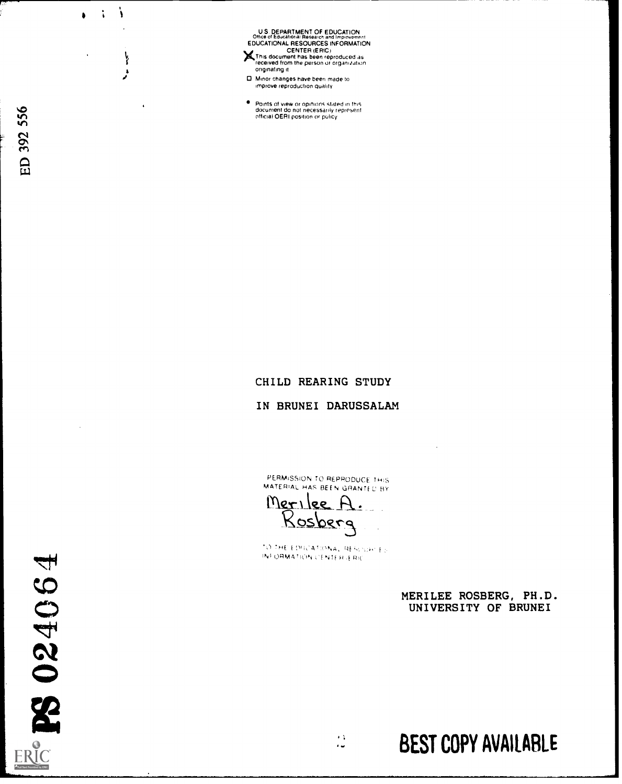U.S. DEPARTMENT OF EDUCATION<br>Office of Educational Research and Improvement<br>EDUCATIONAL RESOURCES INFORMATION XCENTER (ERIC) This document has been reproduced as received from the person or organization

- originating it
- 0 Minor changes have been made to improve reproduction quality
- Points of view or opinions statpd in this document do not necessarily represent official OERI position or policy

 $\ddot{\cdot}$ Ì

ł

 $\bullet$ 

### CHILD REARING STUDY

#### IN BRUNEI DARUSSALAM

PERMISSION TO REPRODUCE THIS MATERIAL HAS BEEN GRANTED BY

TO THE EDUCATIONAL RESOURCES 1510RA/14'10'N ;1 51f Ii f RIC

> $\epsilon$  )  $\ddot{\phantom{a}}$

Merilee A<br>Rosberg

MERILEE ROSBERG, PH.D. UNIVERSITY OF BRUNEI

BEST COPY AVAILABLE

PS 024064 ERIC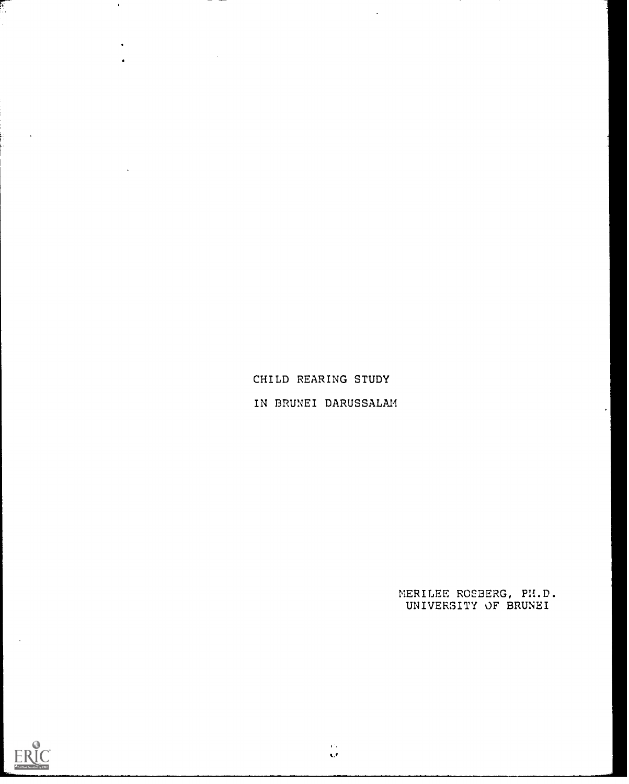CHILD REARING STUDY IN BRUNEI DARUSSALAM

 $\sim$ 

MERILEE ROSBERG, PH.D. UNIVERSITY OF BRUNEI



F.

 $\ddot{\phantom{1}}$ 

 $\bullet$ 

 $\sim$ 

 $\hat{\mathbf{G}}$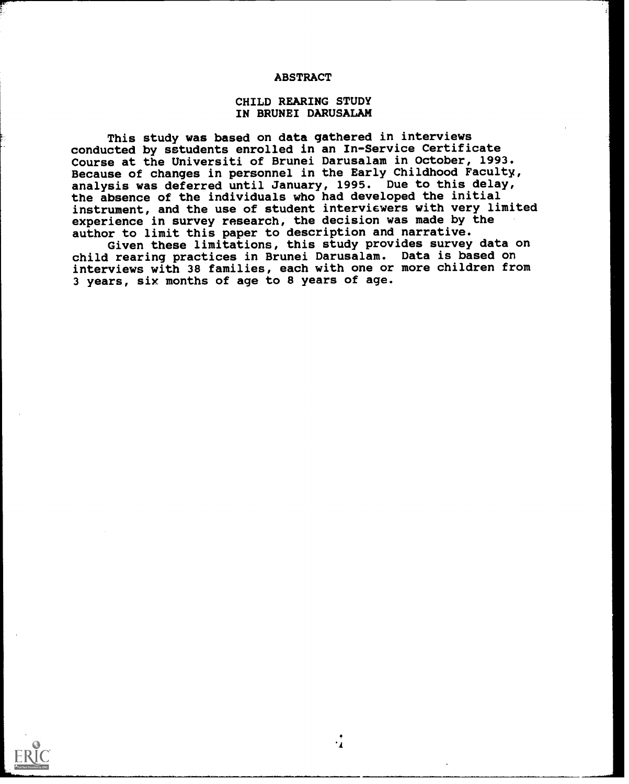#### ABSTRACT

### CHILD REARING STUDY IN BRUNEI DARUSALAN

This study was based on data gathered in interviews conducted by sstudents enrolled in an In-Service Certificate Course at the Universiti of Brunei Darusalam in October, 1993. Because of changes in personnel in the Early Childhood Faculty, analysis was deferred until January, 1995. Due to this delay, the absence of the individuals who had developed the initial instrument, and the use of student interviewers with very limited experience in survey research, the decision was made by the author to limit this paper to description and narrative.

Given these limitations, this study provides survey data on child rearing practices in Brunei Darusalam. Data is based on interviews with 38 families, each with one or more children from 3 years, six months of age to 8 years of age.

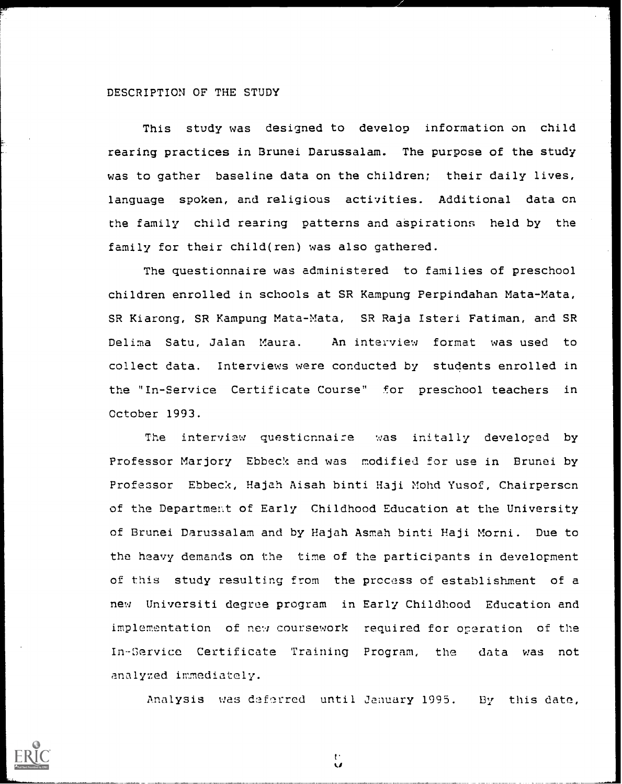#### DESCRIPTION OF THE STUDY

This study was designed to develop information on child rearing practices in Brunei Darussalam. The purpose of the study was to gather baseline data on the children; their daily lives, language spoken, and religious activities. Additional data on the family child rearing patterns and aSpirations held by the family for their child(ren) was also gathered.

The questionnaire was administered to families of preschool children enrolled in schools at SR Kampung Perpindahan Mata-Mata, SR Kiarong, SR Kampung Mata-Mata, SR Raja Isteri Fatiman, and SR Delima Satu, Jalan Maura. An interview format was used to collect data. Interviews were conducted by students enrolled in the "In-Service Certificate Course" for preschool teachers in October 1993.

The interview questionnaire was initally developed by Professor Marjory Ebbeck and was modified for use in Brunei by Professor Ebbeck, Hajah Aisah binti Haji Mohd Yusof, Chairperson of the Department of Early Childhood Education at the University of Brunei Darussalam and by Hajah Asmah binti Haji Morni. Due to the heavy demands on the time of the participants in development of this study resulting from the process of establishment of a new Universiti degree program in Early Childhood Education and implementation of new coursework required for operation of the In-Service Certificate Training Program, the data was not analyzed immediately.

Analysis was dsferred until January 1995. By this date,



t.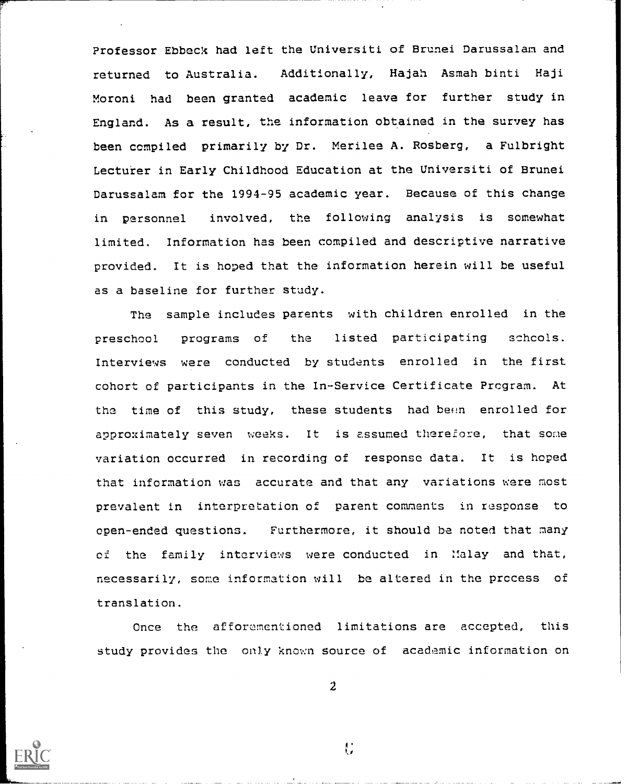Professor Ebbeck had left the Universiti of Brunei Darussalam and returned to Australia. Additionally, Hajah Asmah binti Haji Moroni had been granted academic leave for further study in England. As a result, the information obtained in the survey has been compiled primarily by Dr. Merilee A. Rosberg, a Fulbright Lecturer in Early Childhood Education at the Universiti of Brunei Darussalam for the 1994-95 academic year. Because of this change in personnel involved, the following analysis is somewhat limited. Information has been compiled and descriptive narrative provided. It is hoped that the information herein will be useful as a baseline for further study.

The sample includes parents with children enrolled in the preschool programs of the listed participating schools.  $\|$ Interviews were conducted by students enrolled in the first cohort of participants in the In-Service Certificate Program. At the time of this study, these students had been enrolled for approximately seven weeks. It is assumed therefore, that some variation occurred in recording of response data. It is hoped that information was accurate and that any variations were most prevalent in interpretation of parent comments in response to open-ended questions. Furthermore, it should be noted that many of the family interviews were conducted in Malay and that, necessarily, some information will be altered in the process of translation.

Once the afforementioned limitations are accepted, this study provides the only known source of academic information on



2

Н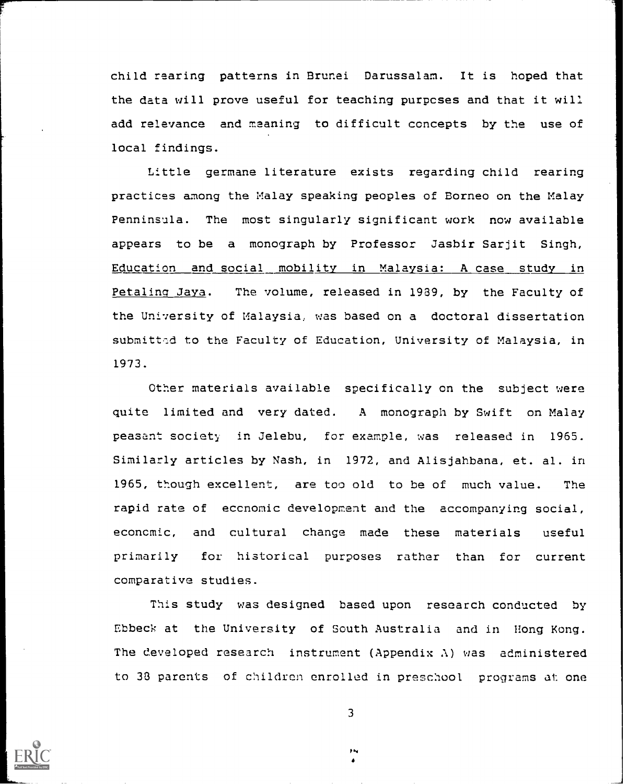child rearing patterns in Brunei Darussalam. It is hoped that the data will prove useful for teaching purposes and that it will add relevance and meaning to difficult concepts by the use of local findings.

Little germane literature exists regarding child rearing practices among the Malay speaking peoples of Borneo on the Malay Penninsula. The most singularly significant work now available appears to be a monograph by Professor Jasbir Sarjit Singh, Education and social mobility in Malaysia: A case study in Petaling Jaya. The volume, released in 1939, by the Faculty of the University of Malaysia, was based on a doctoral dissertation submitted to the Faculty of Education, University of Malaysia, in 1973.

Other materials available specifically on the subject were quite limited and very dated. A monograph by Swift on Malay peasant society in Jelebu, for example, was released in 1965. Similarly articles by Nash, in 1972, and Alisjahbana, et. al. in 1965, though excellent, are too old to be of much value. The rapid rate of economic development and the accompanying social, economic, and cultural change made these materials useful primarily for historical purposes rather than for current comparative studies.

This study was designed based upon research conducted by Ebbeck at the University of South Australia and in Hong Kong. The developed research instrument (Appendix  $\lambda$ ) was administered to 33 parents of children enrolled in preschool programs at one

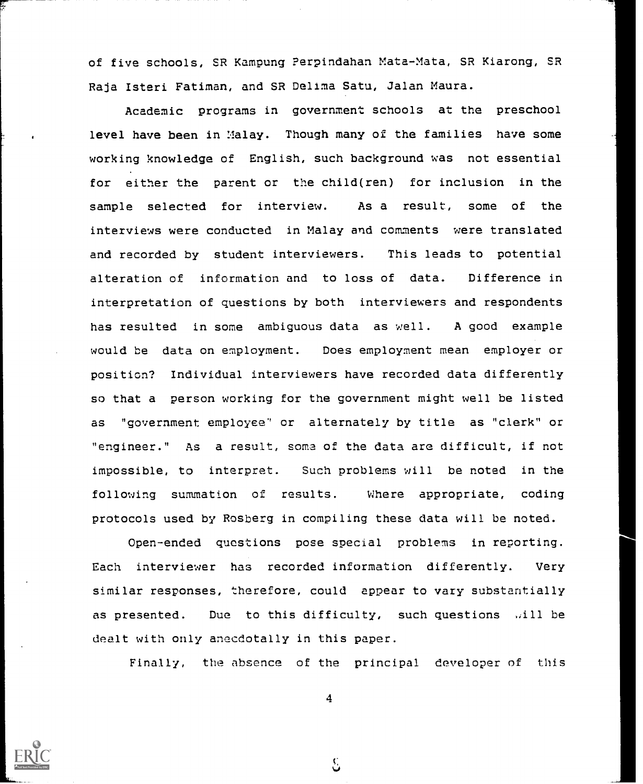of five schools, SR Kampung Perpindahan Mata-Mata, SR Kiarong, SR Raja Isteri Fatiman, and SR Delima Satu, Jalan Maura.

Academic programs in government schools at the preschool level have been in Malay. Though many of the families have some working knowledge of English, such background was not essential for either the parent or the child(ren) for inclusion in the sample selected for interview. As a result, some of the interviews were conducted in Malay and comments were translated and recorded by student interviewers. This leads to potential alteration of information and to loss of data. Difference in interpretation of questions by both interviewers and respondents has resulted in some ambiguous data as well. A good example would be data on employment. Does employment mean employer or position? Individual interviewers have recorded data differently so that a person working for the government might well be listed as "government employee" or alternately by title as "clerk" or "engineer." As a result, soma of the data are difficult, if not impossible, to interpret. Such problems will be noted in the following summation of results. Where appropriate, coding protocols used by Rosberg in compiling these data will be noted.

Open-ended questions pose special problems in reporting. Each interviewer has recorded information differently. Very similar responses, therefore, could appear to vary substantially as presented. Due to this difficulty, such questions will be dealt with only anecdotally in this paper.

Finally, the absence of the principal developer of this



 $\mathcal{E}$ 

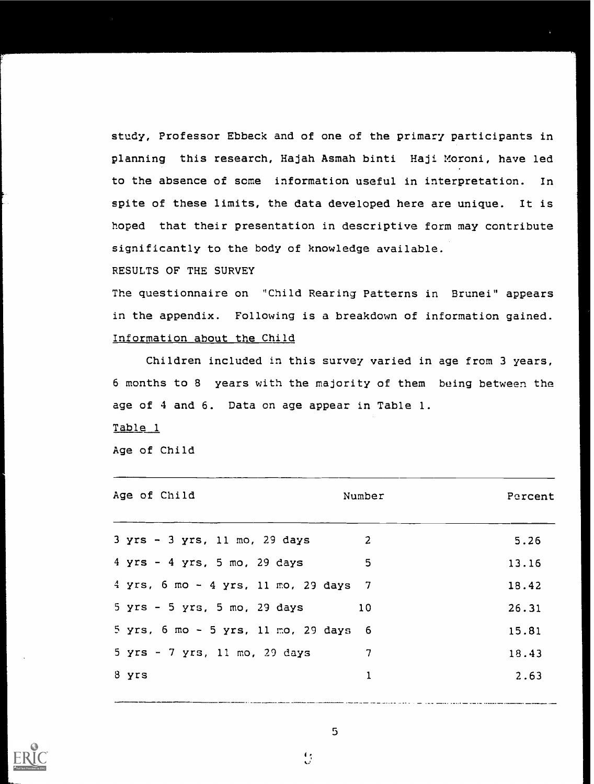study, Professor Ebbeck and of one of the primary participants in planning this research, Hajah Asmah binti Haji Moroni, have led to the absence of some information useful in interpretation. In spite of these limits, the data developed here are unique. It is hoped that their presentation in descriptive form may contribute significantly to the body of knowledge available.

### RESULTS OF THE SURVEY

The questionnaire on "Child Rearing Patterns in Brunei" appears in the appendix. Following is a breakdown of information gained. Information about the Child

Children included in this survey varied in age from 3 years, 6 months to 8 years with the majority of them being between the age of 4 and 6. Data on age appear in Table 1.

Table 1

Age of Child

| Age of Child                            | Number | Percent |
|-----------------------------------------|--------|---------|
| $3$ yrs - $3$ yrs, 11 mo, 29 days       | 2      | 5.26    |
| $4$ yrs - $4$ yrs, 5 mo, 29 days        | 5      | 13.16   |
| $4$ yrs, 6 mo - 4 yrs, 11 mo, 29 days 7 |        | 18.42   |
| $5$ yrs - $5$ yrs, $5$ mo, $29$ days    | 10     | 26.31   |
| 5 yrs, 6 mo - 5 yrs, 11 mo, 29 days 6   |        | 15.81   |
| 5 yrs - 7 yrs, 11 mo, 29 days           | 7      | 18.43   |
| 8 yrs                                   | 1      | 2.63    |
|                                         |        |         |



 $\mathbf{C}$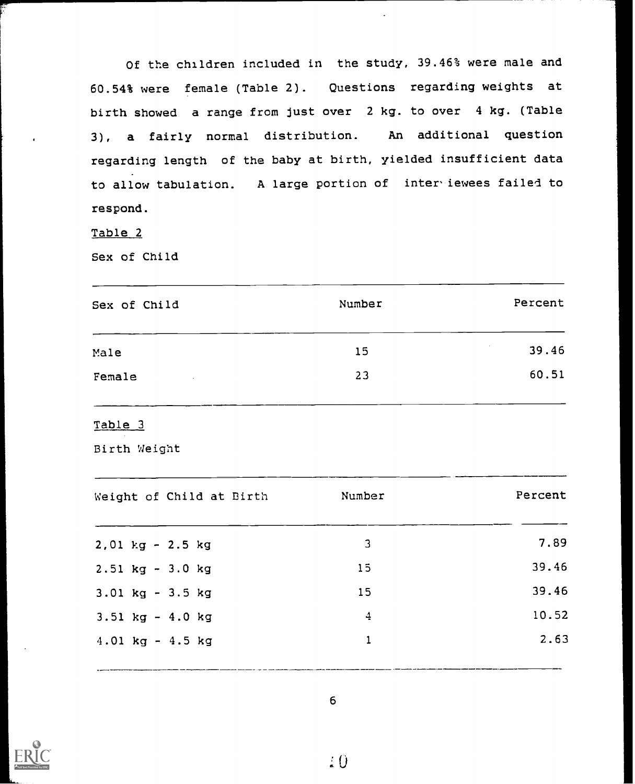Of the children included in the study, 39.46% were male and 60.54% were female (Table 2). Questions regarding weights at birth showed a range from just over 2 kg. to over 4 kg. (Table 3), a fairly normal distribution. An additional question regarding length of the baby at birth, yielded insufficient data to allow tabulation. A large portion of inter iewees failed to respond.

Table 2

Sex of Child

| Sex of Child  | Number | Percent |
|---------------|--------|---------|
| Male          | 15     | 39.46   |
| Female<br>. . | 23     | 60.51   |
|               |        |         |

Table 3

Birth Weight

| Weight of Child at Birth | Number        | Percent |
|--------------------------|---------------|---------|
| $2,01$ kg - $2.5$ kg     | 3             | 7.89    |
| $2.51$ kg - $3.0$ kg     | 15            | 39.46   |
| $3.01$ kg - $3.5$ kg     | 15            | 39.46   |
| $3.51$ kg - $4.0$ kg     | $\frac{4}{5}$ | 10.52   |
| $4.01$ kg - $4.5$ kg     |               | 2.63    |
|                          |               |         |

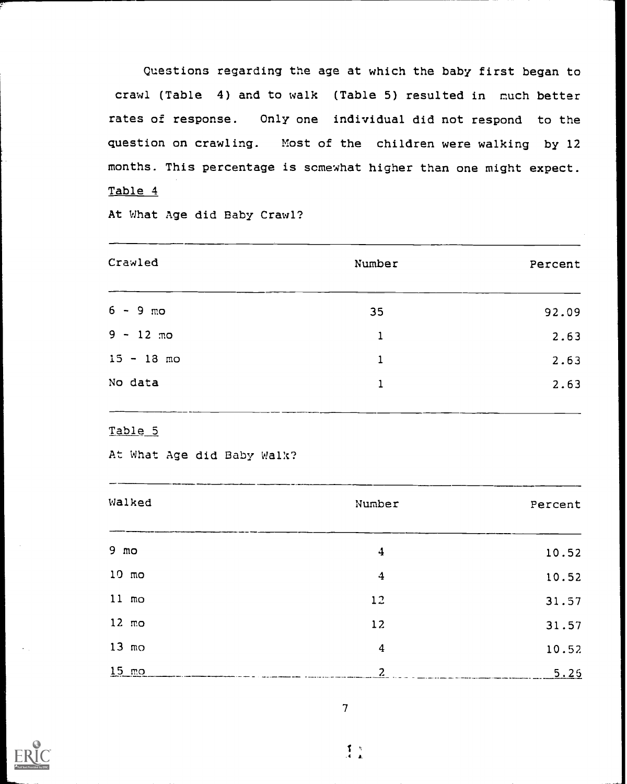Questions regarding the age at which the baby first began to crawl (Table 4) and to walk (Table 5) resulted in much better rates of response. Only one individual did not respond to the question on crawling. Most of the children were walking by 12 months. This percentage is somewhat higher than one might expect. Table 4

At What Age did Baby Crawl?

| Crawled      | Number | Percent |
|--------------|--------|---------|
| $6 - 9$ mo   | 35     | 92.09   |
| $9 - 12$ mo  | 1      | 2.63    |
| $15 - 18$ mo | 1      | 2.63    |
| No data      | 1      | 2.63    |
|              |        |         |

Table 5

At What Age did Baby Walk?

| Walked          | Number           | Percent |
|-----------------|------------------|---------|
| $9 \text{ mo}$  | $\boldsymbol{4}$ | 10.52   |
| $10 \text{ mo}$ | 4                | 10.52   |
| $11 \text{ mo}$ | 12               | 31.57   |
| $12 \text{ mo}$ | 12               | 31.57   |
| $13 \text{ mo}$ | $\boldsymbol{4}$ | 10.52   |
| $15 \text{ mo}$ | $\overline{c}$   | 5.25    |

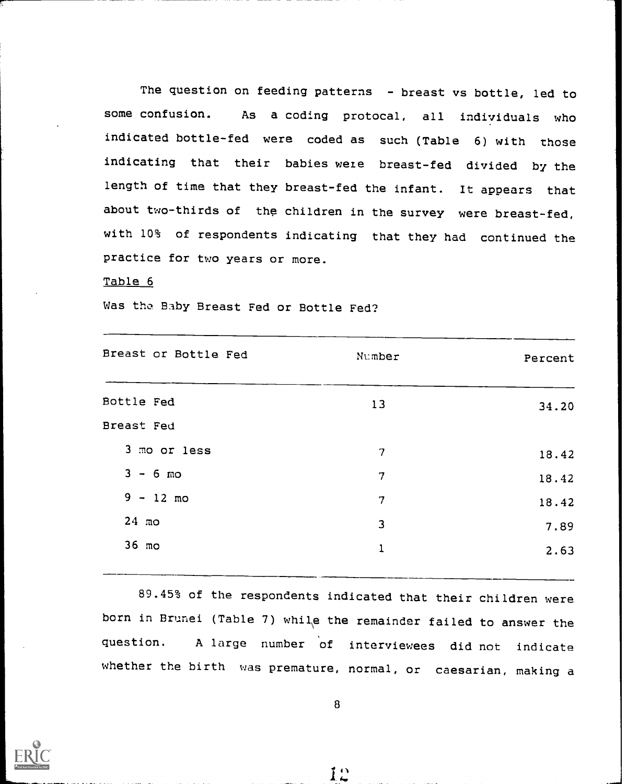The question on feeding patterns - breast vs bottle, led to some confusion. As a coding protocal, all individuals who indicated bottle-fed were coded as such (Table 6) with those indicating that their babies were breast-fed divided by the length of time that they breast-fed the infant. It appears that about two-thirds of the children in the survey were breast-fed, with 10% of respondents indicating that they had continued the practice for two years or more.

### Table 6

Was the Baby Breast Fed or Bottle Fed?

| Breast or Bottle Fed | Number         | Percent |  |
|----------------------|----------------|---------|--|
|                      |                |         |  |
| Bottle Fed           | 13             | 34.20   |  |
| Breast Fed           |                |         |  |
| 3 mo or less         | $\overline{7}$ | 18.42   |  |
| $3 - 6$ mo           | 7              | 18.42   |  |
| $9 - 12$ mo          | 7              | 18.42   |  |
| $24 \text{ mo}$      | 3              | 7.89    |  |
| 36 mo                | 1              | 2.63    |  |
|                      |                |         |  |

89.45% of the respondents indicated that their children were born in Brunei (Table 7) whil\e the remainder failed to answer the question. A large number of interviewees did not indicate whether the birth was premature, normal, or caesarian, making a



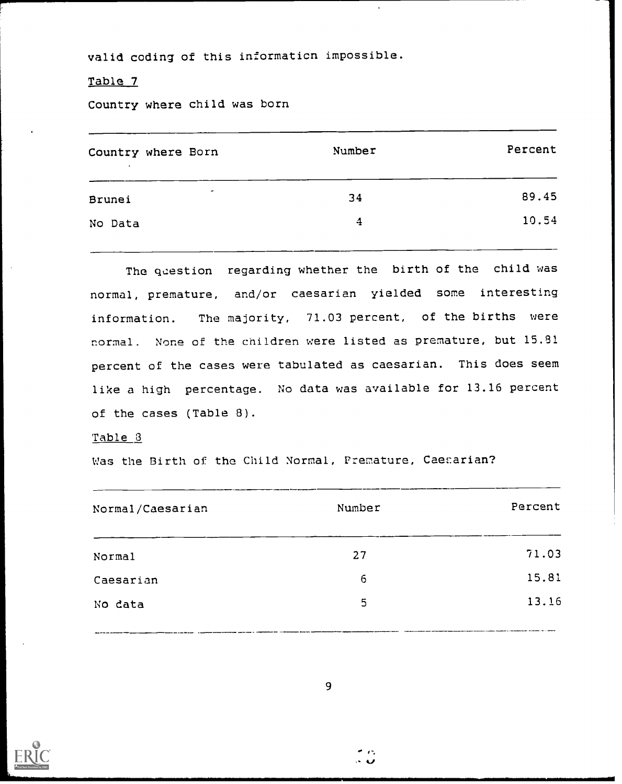valid coding of this information impossible.

### Table 7

Country where child was born

| Country where Born       | Number | Percent |
|--------------------------|--------|---------|
| $\blacksquare$<br>Brunei | 34     | 89.45   |
| No Data                  | 4      | 10.54   |

The question regarding whether the birth of the child was normal, premature, and/or caesarian yielded some interesting information. The majority, 71.03 percent, of the births were normal. None of the children were listed as premature, but 15.81 percent of the cases were tabulated as caesarian. This does seem like a high percentage. No data was available for 13.16 percent of the cases (Table 8).

#### Table 3

Was the Birth of the Child Normal, Premature, Caesarian?

| Normal/Caesarian | Number | Percent |
|------------------|--------|---------|
| <b>Normal</b>    | 27     | 71.03   |
| Caesarian        | 6      | 15.81   |
| No data          | 5      | 13.16   |
|                  |        |         |

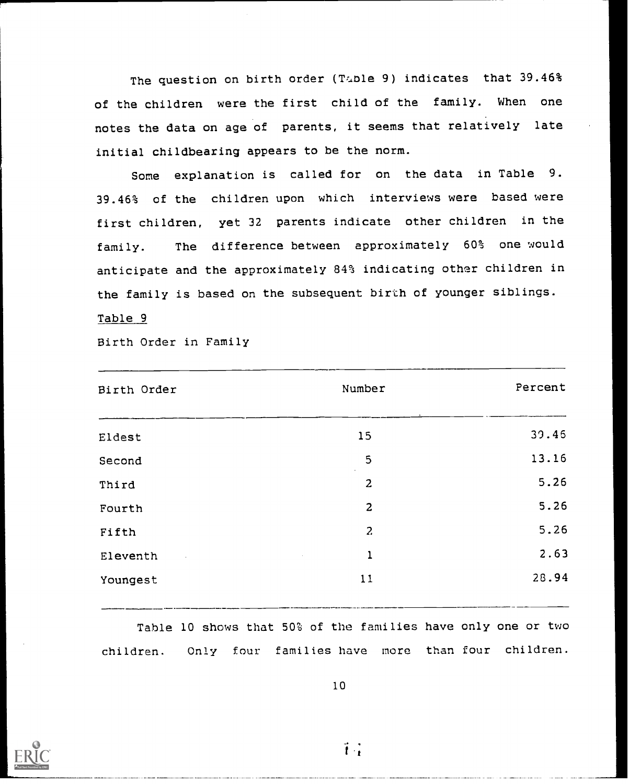The question on birth order (Table 9) indicates that 39.46% of the children were the first child of the family. When one notes the data on age of parents, it seems that relatively late initial childbearing appears to be the norm.

Some explanation is called for on the data in Table 9. 39.46% of the children upon which interviews were based were first children, yet 32 parents indicate other children in the family. The difference between approximately 60% one would anticipate and the approximately 84% indicating other children in the family is based on the subsequent birth of younger siblings. Table 9

Birth Order in Family

| Birth Order           | Number                                                 | Percent |
|-----------------------|--------------------------------------------------------|---------|
| Eldest                | 15                                                     | 39.46   |
| Second                | 5<br>$\bullet$                                         | 13.16   |
| Third                 | $\overline{2}$                                         | 5.26    |
| Fourth                | $\overline{2}$                                         | 5.26    |
| Fifth                 | $\overline{a}$                                         | 5.26    |
| Eleventh<br>$\bar{z}$ | $\mathbf 1$<br>$\mathcal{L}^{\text{max}}_{\text{max}}$ | 2.63    |
| Youngest              | 11                                                     | 28.94   |
|                       |                                                        |         |

Table 10 shows that 50% of the families have only one or two children. Only four families have more than four children.





 $\ddot{1}$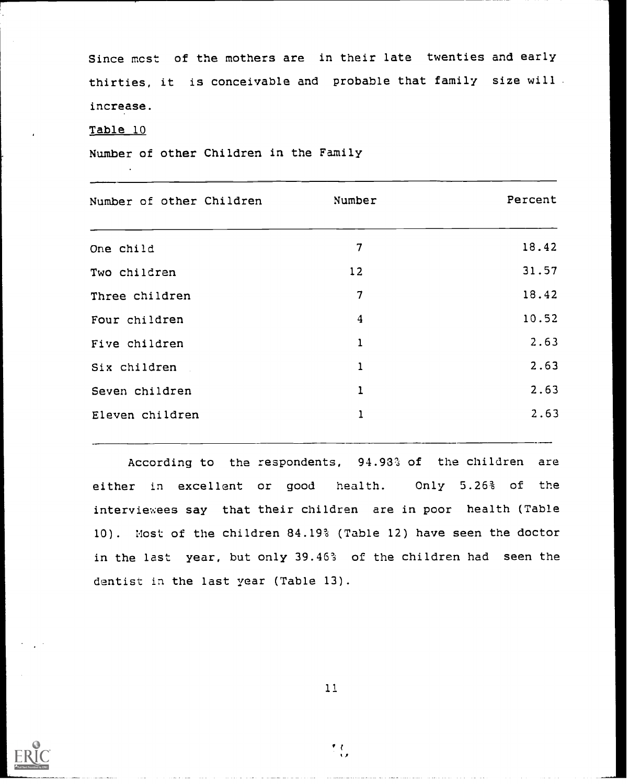Since most of the mothers are in their late twenties and early thirties, it is conceivable and probable that family size will . increase.

#### Table 10

Number of other Children in the Family

| Number of other Children | Number                  | Percent |
|--------------------------|-------------------------|---------|
| One child                | 7                       | 18.42   |
| Two children             | 12                      | 31.57   |
| Three children           | 7                       | 18.42   |
| Four children            | $\overline{\mathbf{4}}$ | 10.52   |
| Five children            | 1                       | 2.63    |
| Six children             | $\mathbf{1}$            | 2.63    |
| Seven children           | ı                       | 2.63    |
| Eleven children          | ı                       | 2.63    |
|                          |                         |         |

According to the respondents, 94.93% of the children are either in excellent or good health. Only 5.26% of the interviewees say that their children are in poor health (Table 10). Most of the children 84.19% (Table 12) have seen the doctor in the last year, but only 39.46% of the children had seen the dentist in the last year (Table 13).



11

 $\mathcal{L}_{\mathcal{L}}$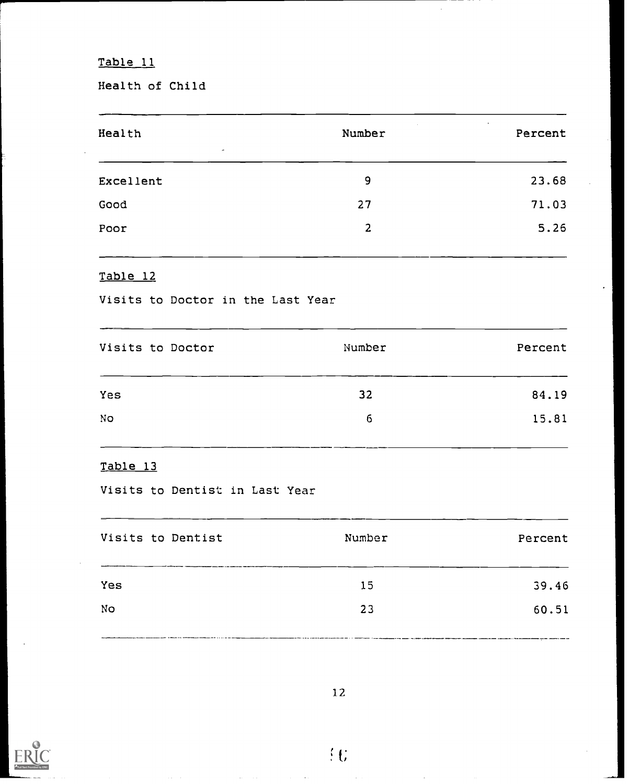Health of Child

| Health<br>$\epsilon$ | Number | $\cdot$<br>Percent |
|----------------------|--------|--------------------|
| Excellent            | 9      | 23.68              |
| Good                 | 27     | 71.03              |
| Poor                 | 2      | 5.26               |
|                      |        |                    |

# Table 12

Visits to Doctor in the Last Year

| Visits to Doctor | Number | Percent |
|------------------|--------|---------|
| <b>Yes</b>       | 32     | 84.19   |
|                  | 6      | 15.81   |
|                  |        |         |

# Table 13

Visits to Dentist in Last Year

| Visits to Dentist | Number | Percent |
|-------------------|--------|---------|
| Yes               | 15     | 39.46   |
| No                | 23     | 60.51   |
|                   |        |         |

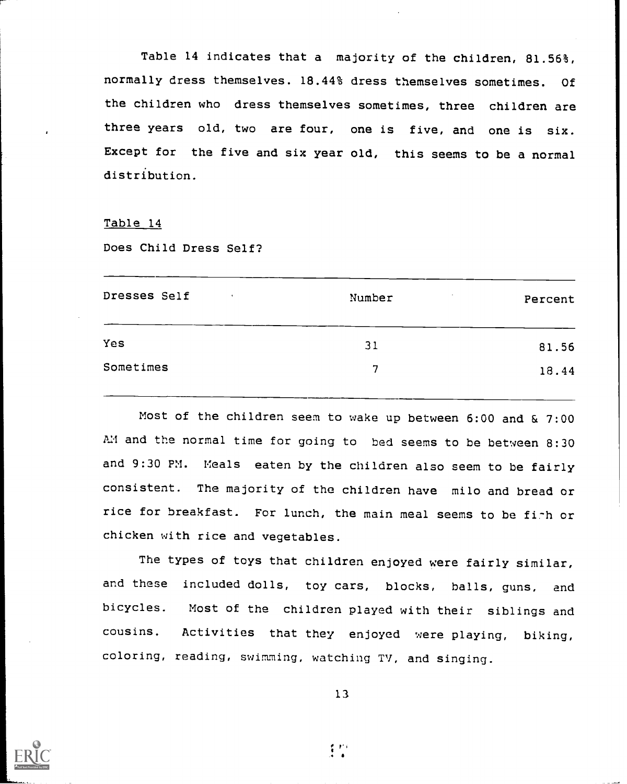Table 14 indicates that a majority of the children, 81.56%, normally dress themselves. 18.44% dress themselves sometimes. Of the children who dress themselves sometimes, three children are three years old, two are four, one is five, and one is six. Except for the five and six year old, this seems to be a normal distribution.

#### Table 14

Does Child Dress Self?

| Dresses Self | Number | Percent |
|--------------|--------|---------|
| Yes          | 31     | 81.56   |
| Sometimes    | 7      | 18.44   |
|              |        |         |

Most of the children seem to wake up between 6:00 and & 7:00 AM and the normal time for going to bed seems to be between 8:30 and 9:30 PM. Meals eaten by the children also seem to be fairly consistent. The majority of the children have milo and bread or rice for breakfast. For lunch, the main meal seems to be firh or chicken with rice and vegetables.

The types of toys that children enjoyed were fairly similar, and these included dolls, toy cars, blocks, balls, guns, and bicycles. Most of the children played with their siblings and cousins. Activities that they enjoyed were playing, biking, coloring, reading, swimming, watching TV, and singing.





 $\mathcal{L}^{\mathcal{P}}$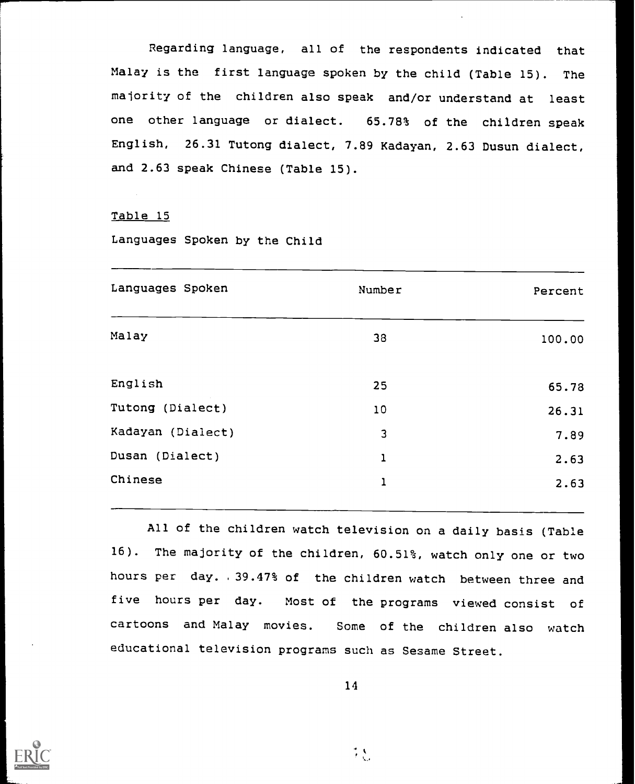Regarding language, all of the respondents indicated that Malay is the first language spoken by the child (Table 15). The majority of the children also speak and/or understand at least one other language or dialect. 65.78% of the children speak English, 26.31 Tutong dialect, 7.89 Kadayan, 2.63 Dusun dialect, and 2.63 speak Chinese (Table 15).

#### Table 15

Languages Spoken by the Child

| Languages Spoken  | Number | Percent |
|-------------------|--------|---------|
| Malay             | 38     | 100.00  |
| English           | 25     | 65.78   |
| Tutong (Dialect)  | 10     | 26.31   |
| Kadayan (Dialect) | 3      | 7.89    |
| Dusan (Dialect)   | 1      | 2.63    |
| Chinese           | ı      | 2.63    |
|                   |        |         |

All of the children watch television on a daily basis (Table 16). The majority of the children, 60.51%, watch only one or two hours per day. .39.47% of the children watch between three and five hours per day. Most of the programs viewed consist of cartoons and Malay movies. Some of the children also watch educational television programs such as Sesame Street.



14

 $\frac{1}{2}$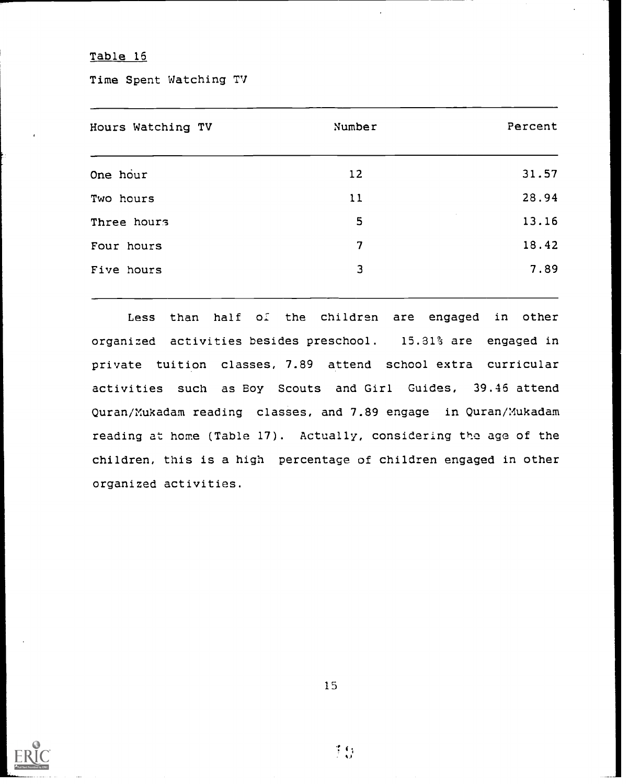Time Spent Watching TV

| Hours Watching TV | Number | Percent |
|-------------------|--------|---------|
| One hour          | 12     | 31.57   |
| Two hours         | 11     | 28.94   |
| Three hours       | 5      | 13.16   |
| Four hours        | 7      | 18.42   |
| Five hours        | 3      | 7.89    |
|                   |        |         |

Less than half of the children are engaged in other organized activities besides preschool. 15.81% are engaged in private tuition classes, 7.89 attend school extra curricular activities such as Boy Scouts and Girl Guides, 39.46 attend Quran/Mukadam reading classes, and 7.89 engage in Quran/Mukadam reading at home (Table 17). Actually, considering the age of the children, this is a high percentage of children engaged in other organized activities.

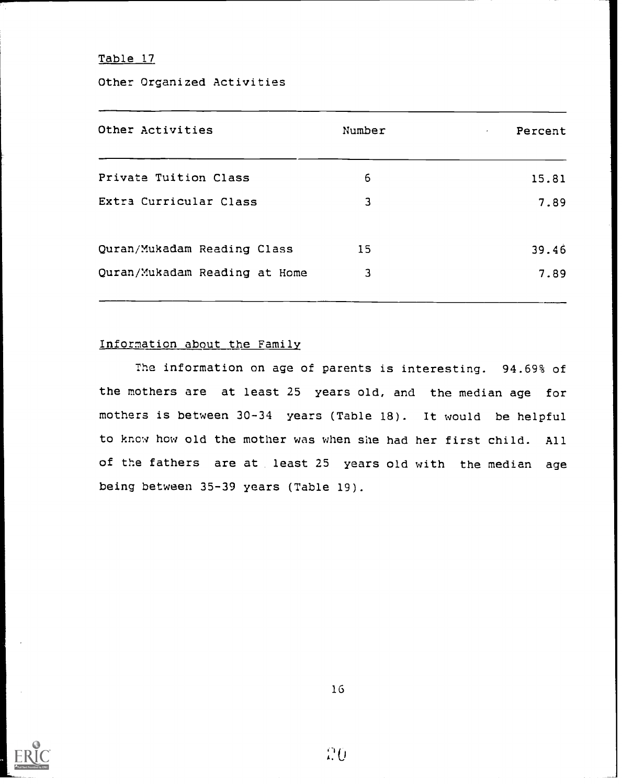Other Organized Activities

| Number | Percent<br>$\epsilon$ |
|--------|-----------------------|
| 6      | 15.81                 |
| 3      | 7.89                  |
| 15     | 39.46                 |
| 3      | 7.89                  |
|        |                       |

## Information about the Family

The information on age of parents is interesting. 94.69% of the mothers are at least 25 years old, and the median age for mothers is between 30-34 years (Table 18). It would be helpful to know how old the mother was when she had her first child. All of the fathers are at least 25 years old with the median age being between 35-39 years (Table 19).



20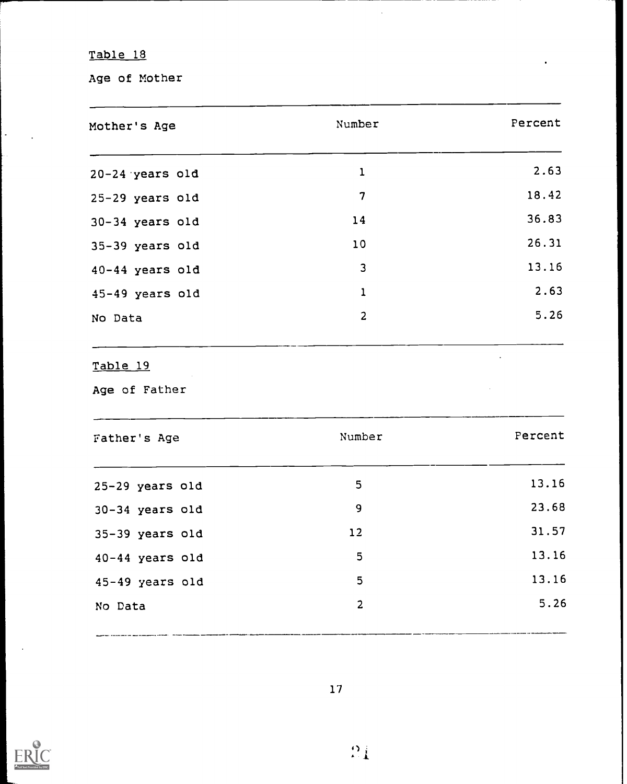$\mathcal{L}$ 

Age of Mother

| Mother's Age              | Number         | Percent |
|---------------------------|----------------|---------|
| $20-24$ years old         | $\mathbf{1}$   | 2.63    |
| 25-29 years old           | $\overline{7}$ | 18.42   |
| 30-34 years old           | 14             | 36.83   |
| 35-39 years old           | 10             | 26.31   |
| 40-44 years old           | 3              | 13.16   |
| 45-49 years old           | $\mathbf{1}$   | 2.63    |
| No Data                   | $\overline{2}$ | 5.26    |
| Table 19<br>Age of Father |                |         |
| Father's Age              | Number         | Percent |
|                           | 5              | 13.16   |
| 25-29 years old           |                |         |
| 30-34 years old           | 9              | 23.68   |
| 35-39 years old           | 12             | 31.57   |
| 40-44 years old           | 5              | 13.16   |
| 45-49 years old           | 5              | 13.16   |

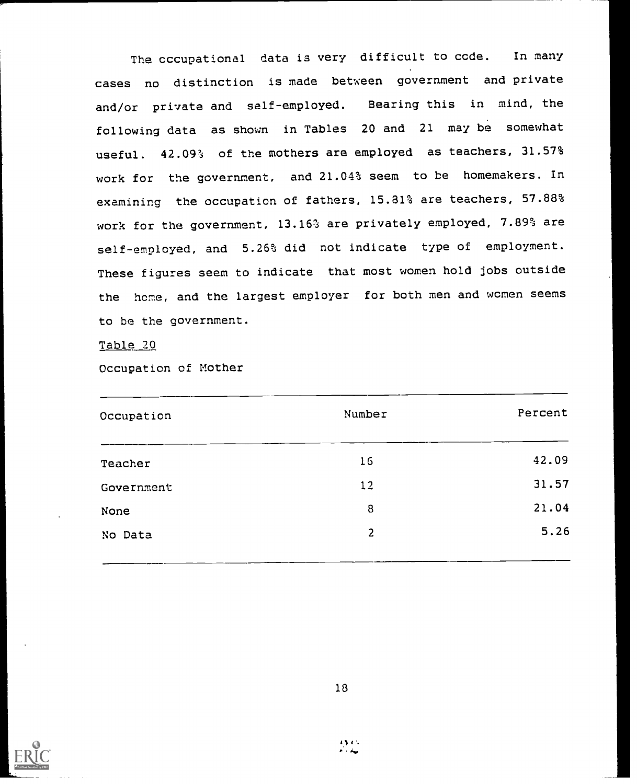The occupational data is very difficult to ccde. In many cases no distinction is made between government and private and/or private and self-employed. Bearing this in mind, the following data as shown in Tables 20 and <sup>21</sup> may be somewhat useful. 42.09% of the mothers are employed as teachers, 31.57% work for the government, and 21.04% seem to be homemakers. In examining the occupation of fathers, 15.81% are teachers, 57.88% work for the government, 13.16% are privately employed, 7.89% are self-employed, and 5.26% did not indicate type of employment. These figures seem to indicate that most women hold jobs outside the home, and the largest employer for both men and women seems to be the government.

Table 20

Occupation of Mother

| Number | Percent |
|--------|---------|
| 16     | 42.09   |
| 12     | 31.57   |
| 8      | 21.04   |
| 2      | 5.26    |
|        |         |

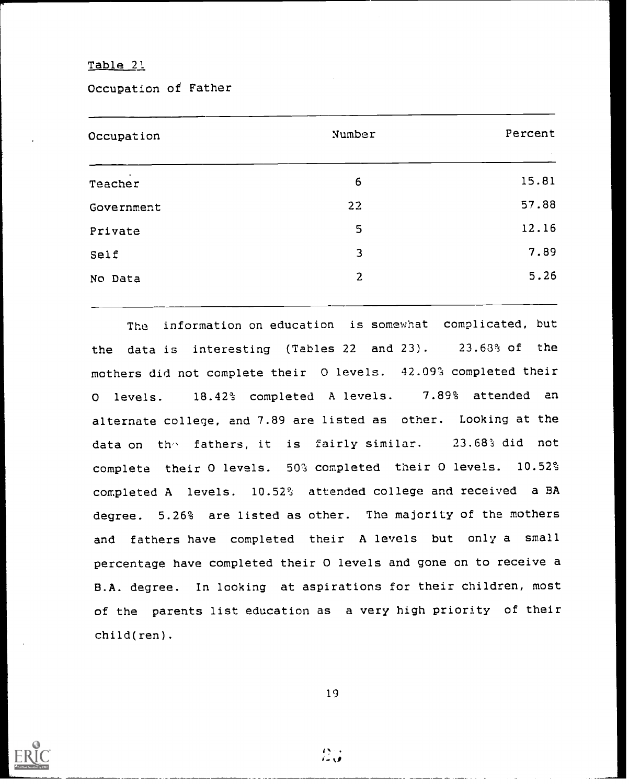Occupation of Father

| Occupation        | Number           | Percent |
|-------------------|------------------|---------|
| $\sim$<br>Teacher | $\boldsymbol{6}$ | 15.81   |
| Government        | 22               | 57.88   |
| Private           | 5                | 12.16   |
| Self              | 3                | 7.89    |
| No Data           | $\overline{2}$   | 5.26    |
|                   |                  |         |

The information on education is somewhat complicated, but the data is interesting (Tables 22 and 23). 23.63% of the mothers did not complete their 0 levels. 42.09% completed their 0 levels. 18.42% completed A levels. 7.89% attended an alternate college, and 7.89 are listed as other. Looking at the data on the fathers, it is fairly similar. 23.68% did not complete their 0 levels. 50% completed their 0 levels. 10.52% completed A levels. 10.52% attended college and received a BA degree. 5.26% are listed as other. The majority of the mothers and fathers have completed their A levels but only a small percentage have completed their 0 levels and gone on to receive a B.A. degree. In looking at aspirations for their children, most of the parents list education as a very high priority of their child(ren).

19

 $\mathbb{C}$  .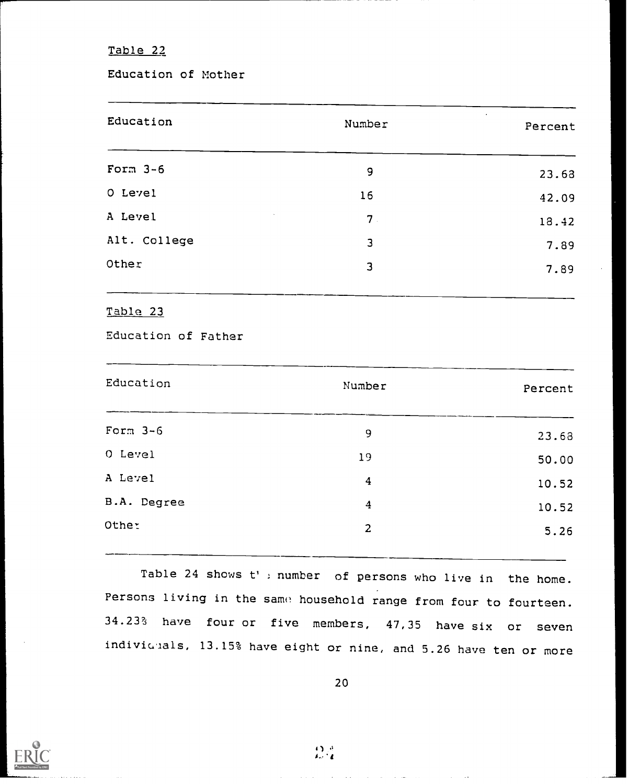Education of Mother

| Education    | Number         | Percent |
|--------------|----------------|---------|
| Form $3-6$   | 9              | 23.68   |
| O Level      | 16             | 42.09   |
| A Level      | 7 <sub>1</sub> | 18.42   |
| Alt. College | 3              | 7.89    |
| Other        | 3              | 7.89    |
|              |                |         |

Table 23

Education of Father

| Education   | Number         | Percent |
|-------------|----------------|---------|
| Form $3-6$  | 9              | 23.68   |
| O Level     | 19             | 50.00   |
| A Level     | $\overline{4}$ | 10.52   |
| B.A. Degree | $\frac{4}{3}$  | 10.52   |
| Other       | $\overline{2}$ | 5.26    |
|             |                |         |

Table 24 shows t': number of persons who live in the home. Persons living in the same household range from four to fourteen. 34.23% have four or five members, 47,35 have six or seven indivicuals, 13.15% have eight or nine, and 5.26 have ten or more

 $\mathfrak{Q}^{\mathcal{A}}_{\mathbf{d}}$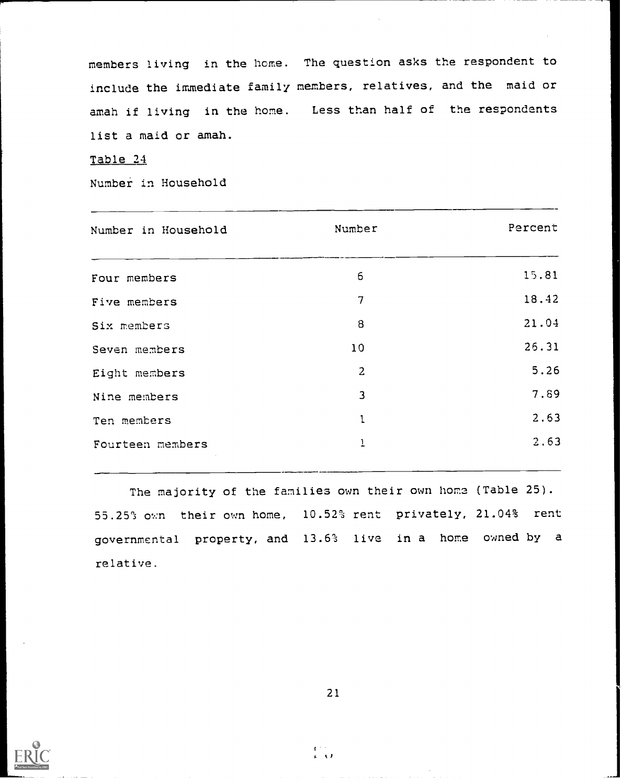members living in the home. The question asks the respondent to include the immediate family members, relatives, and the maid or amah if living in the home. Less than half of the respondents list a maid or amah.

Table 24

Number in Household

| Number in Household | Number         | Percent |
|---------------------|----------------|---------|
| Four members        | 6              | 15.81   |
| Five members        | 7              | 18.42   |
| Six members         | 8              | 21.04   |
| Seven members       | 10             | 26.31   |
| Eight members       | $\overline{2}$ | 5.26    |
| Nine members        | 3              | 7.89    |
| Ten members         | $\mathbf{1}$   | 2.63    |
| Fourteen members    | $\mathbf{1}$   | 2.63    |
|                     |                |         |

The majority of the families own their own home (Table 25). 55.25% own their own home, 10.52% rent privately, 21.04% rent governmental property, and 13.6% live in a home owned by <sup>a</sup> relative.



21

 $\frac{1}{k}$  ,  $\frac{1}{k}$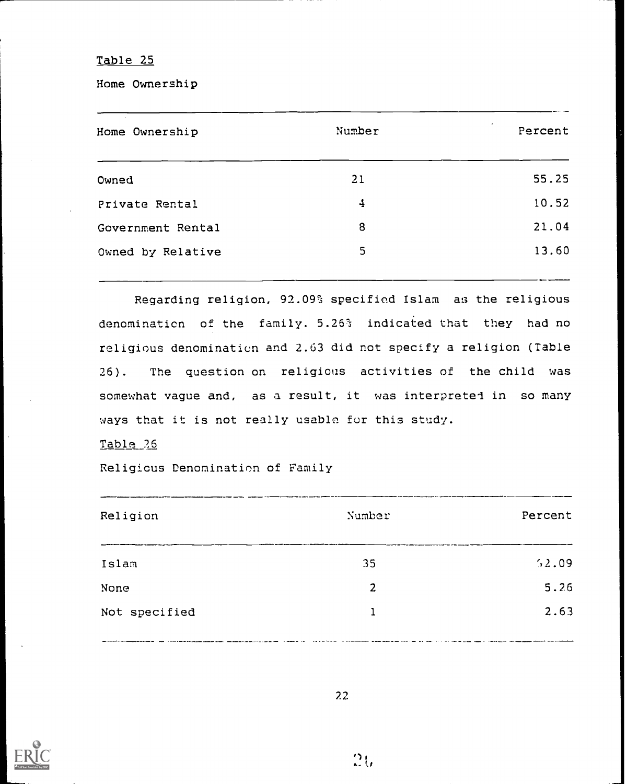Home Ownership

| Home Ownership    | Number | $\bullet$<br>Percent |
|-------------------|--------|----------------------|
| Owned             | 21     | 55.25                |
| Private Rental    | 4      | 10.52                |
| Government Rental | 8      | 21.04                |
| Owned by Relative | 5      | 13.60                |
|                   |        |                      |

Regarding religion, 92.09% specified Islam as the religious denomination of the family. 5.26% indicated that they had no religious denomination and 2.63 did not specify a religion (Table 26). The question on religious activities of the child was somewhat vague and, as a result, it was interpreted in so many ways that it is not really usable for this study.

### Table\_26

Religious Denomination of Family

| Religion      | Number | Percent |
|---------------|--------|---------|
| Islam         | 35     | 52.09   |
| None          | 2      | 5.26    |
| Not specified | 1      | 2.63    |

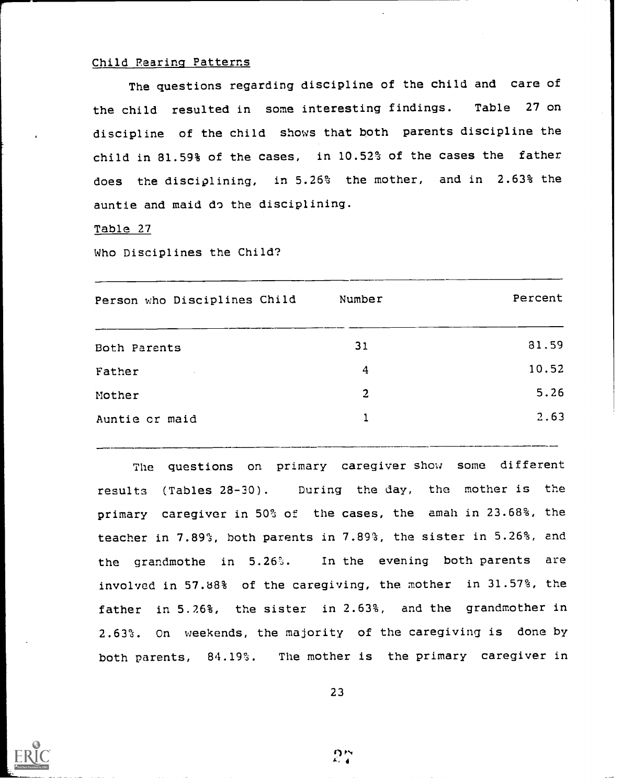#### Child Rearing Patterns

The questions regarding discipline of the child and care of the child resulted in some interesting findings. Table 27 on discipline of the child shows that both parents discipline the child in 81.59% of the cases, in 10.52% of the cases the father does the disciplining, in 5.26% the mother, and in 2.63% the auntie and maid do the disciplining.

Table 27

Who Disciplines the Child?

| Person who Disciplines Child | Number         | Percent |
|------------------------------|----------------|---------|
| Both Parents                 | 31             | 81.59   |
| Father                       | $\frac{4}{3}$  | 10.52   |
| Mother                       | $\overline{2}$ | 5.26    |
| Auntie or maid               |                | 2.63    |
|                              |                |         |

The questions on primary caregiver show some different results (Tables 28-30). During the day, the mother is the primary caregiver in 50% of the cases, the amah in 23.68%, the teacher in 7.89%, both parents in 7.89%, the sister in 5.26%, and the grandmothe in 5.26%. In the evening both parents are involved in 57.88% of the caregiving, the mother in 31.57%, the father in 5.26%, the sister in 2.63%, and the grandmother in 2.63%. On weekends, the majority of the caregiving is done by both parents, 84.19%. The mother is the primary caregiver in

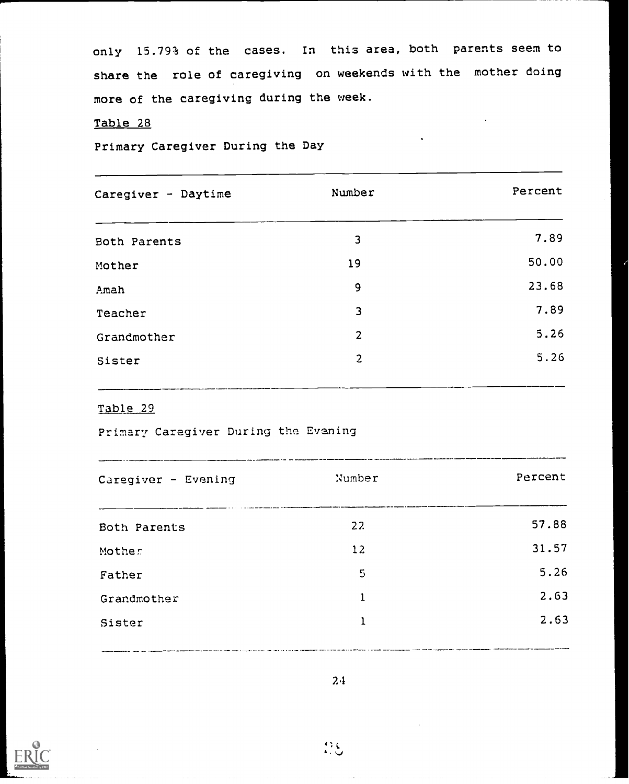only 15.79% of the cases. In this area, both parents seem to share the role of caregiving on weekends with the mother doing more of the caregiving during the week.

## Table 28

Primary Caregiver During the Day

| Caregiver - Daytime | Number         | Percent |
|---------------------|----------------|---------|
| Both Parents        | 3              | 7.89    |
| Mother              | 19             | 50.00   |
| Amah                | 9              | 23.68   |
| Teacher             | 3              | 7.89    |
| Grandmother         | $\overline{2}$ | 5.26    |
| Sister              | $\overline{2}$ | 5.26    |
|                     |                |         |

## Table 29

Primary Caregiver During the Evening

| Caregiver - Evening | Number | Percent |
|---------------------|--------|---------|
| Both Parents        | 22     | 57.88   |
| Mother              | 12     | 31.57   |
| Father              | 5      | 5.26    |
| Grandmother         | 1      | 2.63    |
| Sister              | 1      | 2.63    |
|                     |        |         |



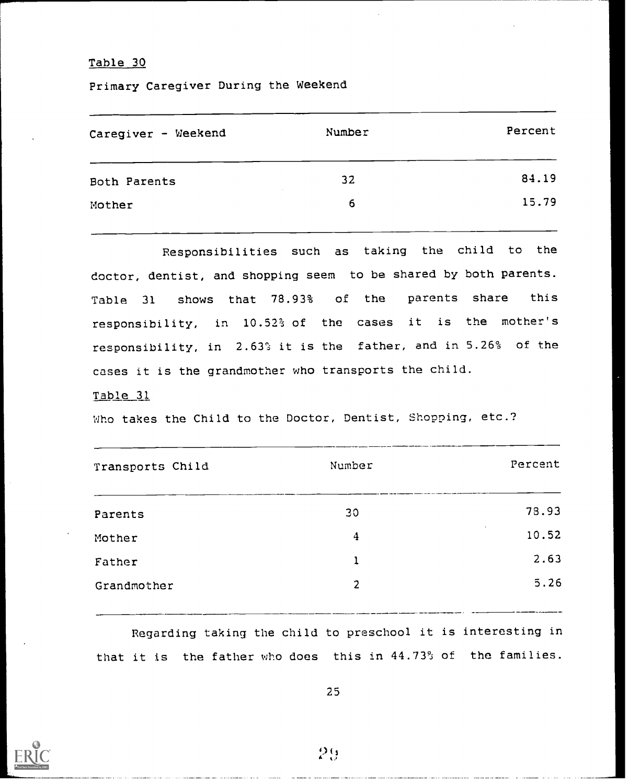Primary Caregiver During the Weekend

| Number | Percent |
|--------|---------|
| 32     | 84.19   |
| 6      | 15.79   |
|        |         |

Responsibilities such as taking the child to the doctor, dentist, and shopping seem to be shared by both parents. Table <sup>31</sup> shows that 78.93% of the parents share this responsibility, in 10.52% of the cases it is the mother's responsibility, in 2.63% it is the father, and in 5.26% of the cases it is the grandmother who transports the child.

#### Table 31

Who takes the Child to the Doctor, Dentist, Shopping, etc.?

| Transports Child | Number | Percent         |
|------------------|--------|-----------------|
| Parents          | 30     | 78.93           |
| Mother           | 4      | $\sim$<br>10.52 |
| Father           | 1      | 2.63            |
| Grandmother      | 2      | 5.26            |
|                  |        |                 |

Regarding taking the child to preschool it is interesting in that it is the father who does this in 44.73% of the families.



 $29 - 3$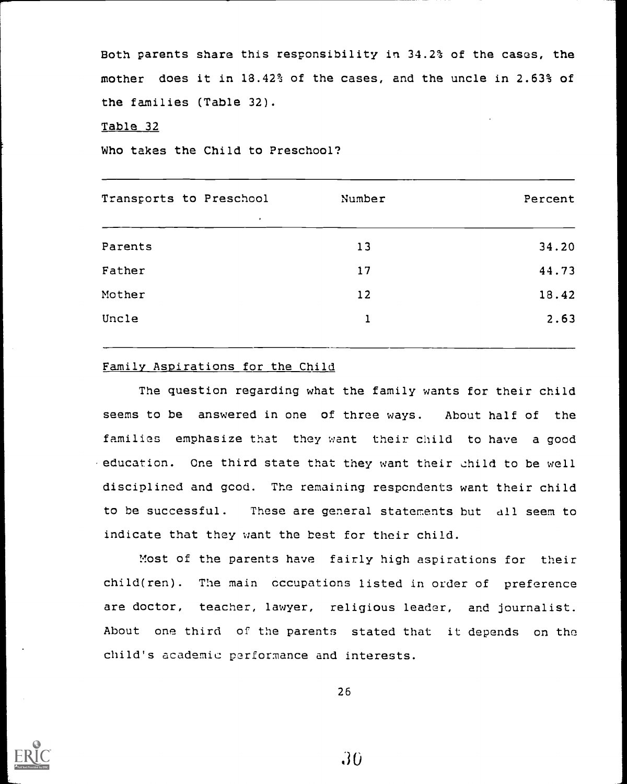Both parents share this responsibility in 34.2% of the cases, the mother does it in 18.42% of the cases, and the uncle in 2.63% of the families (Table 32).

### Table 32

Who takes the Child to Preschool?

| Transports to Preschool<br>$\bullet$ | Number | Percent |
|--------------------------------------|--------|---------|
| Parents                              | 13     | 34.20   |
| Father                               | 17     | 44.73   |
| Mother                               | 12     | 18.42   |
| Uncle                                |        | 2.63    |
|                                      |        |         |

#### Family Aspirations for the Child

The question regarding what the family wants for their child seems to be answered in one of three ways. About half of the families emphasize that they want their child to have a good . education. One third state that they want their child to be well disciplined and good. The remaining respondents want their child to be successful. These are general statements but all seem to indicate that they want the best for their child.

Most of the parents have fairly high aspirations for their child(ren). The main occupations listed in order of preference are doctor, teacher, lawyer, religious leader, and journalist. About one third of the parents stated that it depends on the child's academic performance and interests.



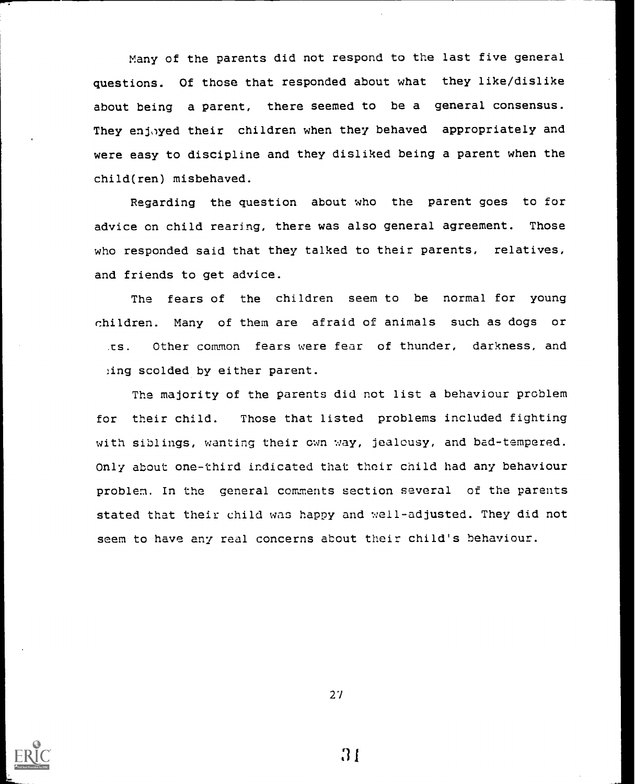Many of the parents did not respond to the last five general questions. Of those that responded about what they like/dislike about being a parent, there seemed to be a general consensus. They enjoyed their children when they behaved appropriately and were easy to discipline and they disliked being a parent when the child(ren) misbehaved.

Regarding the question about who the parent goes to for advice on child rearing, there was also general agreement. Those who responded said that they talked to their parents, relatives, and friends to get advice.

The fears of the children seem to be normal for young children. Many of them are afraid of animals such as dogs or Other common fears were fear of thunder, darkness, and  $\overline{S}$ . ing scolded by either parent.

The majority of the parents did not list a behaviour problem for their child. Those that listed problems included fighting with siblings, wanting their own way, jealousy, and bad-tempered. Only about one-third indicated that their child had any behaviour problem. In the general comments section several of the parents stated that their child was happy and well-adjusted. They did not seem to have any real concerns about their child's behaviour.



27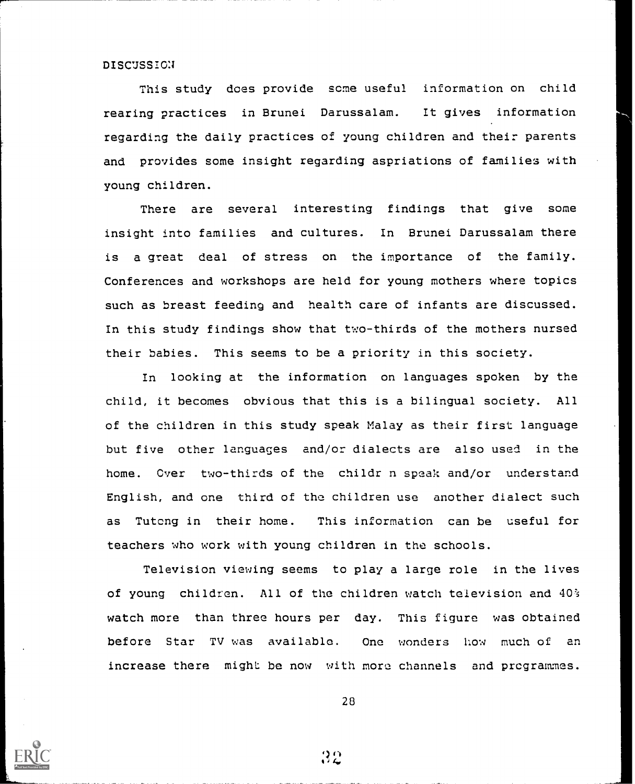DISCUSSION

This study does provide some useful information on child rearing practices in Brunei Darussalam. It gives information regarding the daily practices of young children and their parents and provides some insight regarding aspriations of families with young children.

There are several interesting findings that give some insight into families and cultures. In Brunei Darussalam there is a great deal of stress on the importance of the family. Conferences and workshops are held for young mothers where topics such as breast feeding and health care of infants are discussed. In this study findings show that two-thirds of the mothers nursed their babies. This seems to be a priority in this society.

In looking at the information on languages spoken by the child, it becomes obvious that this is a bilingual society. All of the children in this study speak Malay as their first language but five other languages and/or dialects are also used in the home. Over two-thirds of the childr n speak and/or understand English, and one third of the children use another dialect such as Tutcng in their home. This information can be useful for teachers who work with young children in the schools.

Television viewing seems to play a large role in the lives of young children. All of the children watch television and 40% watch more than three hours per day. This figure was obtained before Star TV was available. One wonders how much of an increase there might be now with more channels and programmes.



28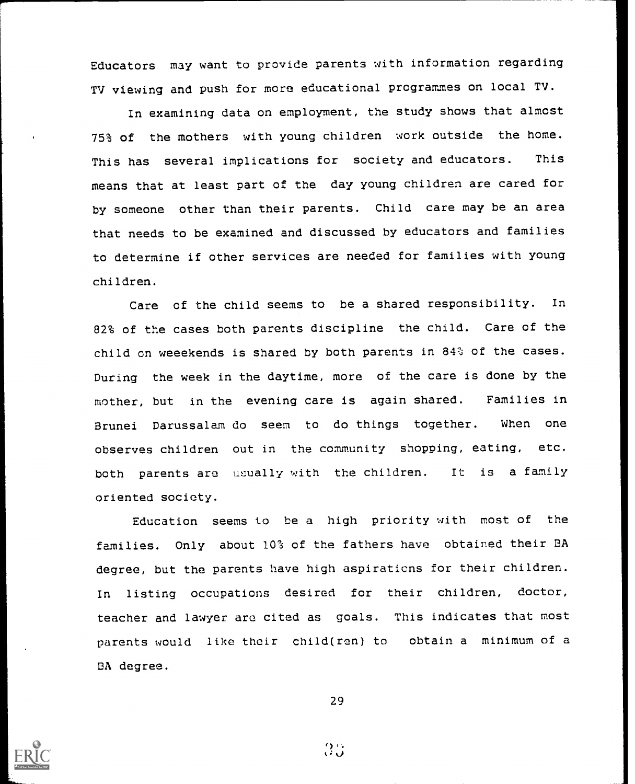Educators may want to provide parents with information regarding TV viewing and push for more educational programmes on local TV.

In examining data on employment, the study shows that almost 75% of the mothers with young children work outside the home. This has several implications for society and educators. This means that at least part of the day young children are cared for by someone other than their parents. Child care may be an area that needs to be examined and discussed by educators and families to determine if other services are needed for families with young children.

Care of the child seems to be a shared responsibility. In 82% of the cases both parents discipline the child. Care of the child on weeekends is shared by both parents in 84% of the cases. During the week in the daytime, more of the care is done by the mother, but in the evening care is again shared. Families in Brunei Darussalam do seem to do things together. When one observes children out in the community shopping, eating, etc. both parents are usually with the children. It is a family oriented society.

Education seems to be a high priority with most of the families. Only about 10% of the fathers have obtained their BA degree, but the parents have high aspirations for their children. In listing occupations desired for their children, doctor, teacher and lawyer are cited as goals. This indicates that most parents would like their child(ren) to obtain a minimum of a BA degree.

29

 $\mathbb{C}^{\prime}$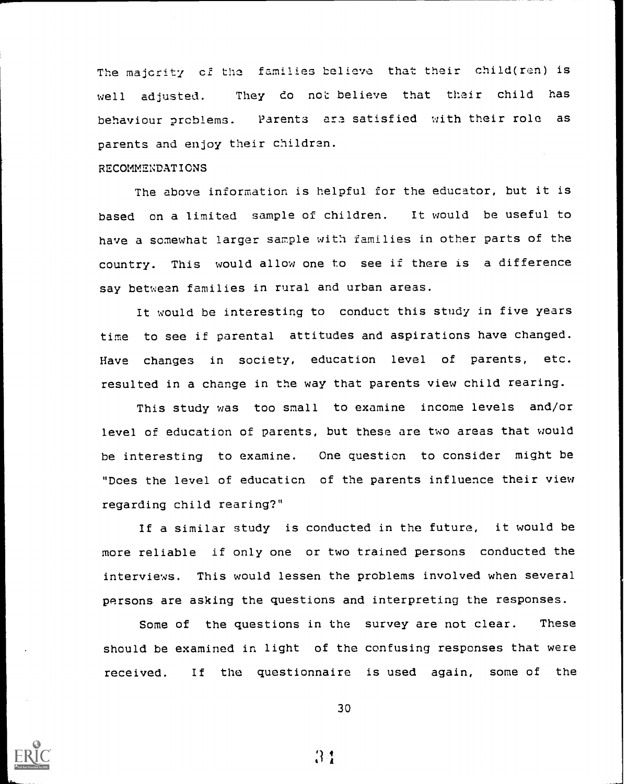The majority of the families believe that their child(ren) is well adjusted. They do not believe that their child has behaviour prcblems. Parents are satisfied with their role as parents and enjoy their children.

#### RECOMMENDATIONS

The above information is helpful for the educator, but it is based on a limited sample of children. It would be useful to have a somewhat larger sample with families in other parts of the country. This would allow one to see if there is a difference say between families in rural and urban areas.

It would be interesting to conduct this study in five years time to see if parental attitudes and aspirations have changed. Have changes in society, education level of parents, etc. resulted in a change in the way that parents view child rearing.

This study was too small to examine income levels and/or level of education of parents, but these are two areas that would be interesting to examine. One question to consider might be "Does the level of educaticn of the parents influence their view regarding child rearing?"

If a similar study is conducted in the future, it would be more reliable if only one or two trained persons conducted the interviews. This would lessen the problems involved when several persons are asking the questions and interpreting the responses.

Some of the questions in the survey are not clear. These should be examined in light of the confusing responses that were received. If the questionnaire is used again, some of the

30

 $3:1$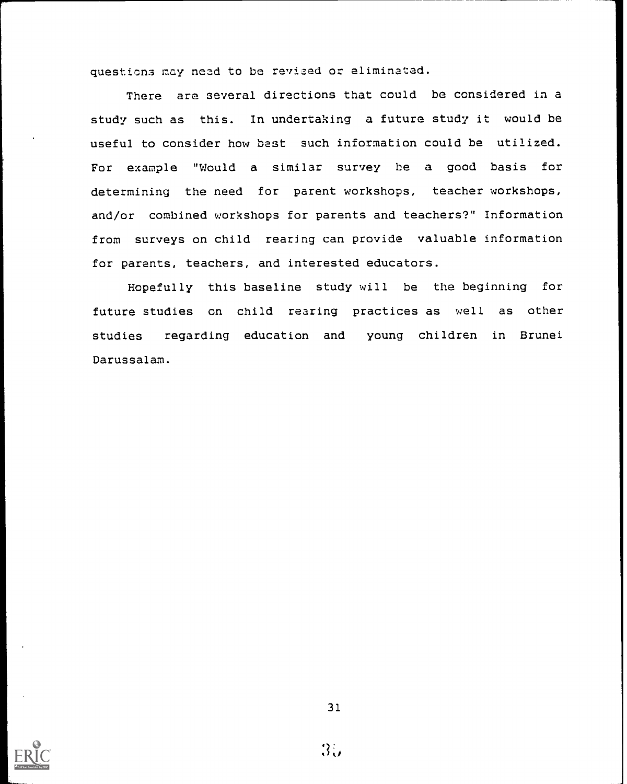questions may need to be revised or eliminated.

There are several directions that could be considered in a study such as this. In undertaking a future study it would be useful to consider how best such information could be utilized. For example "Would a similar survey be a good basis for determining the need for parent workshops, teacher workshops, and/or combined workshops for parents and teachers?" Information from surveys on child rearing can provide valuable information for parents, teachers, and interested educators.

Hopefully this baseline study will be the beginning for future studies on child rearing practices as well as other studies regarding education and young children in Brunei Darussalam.

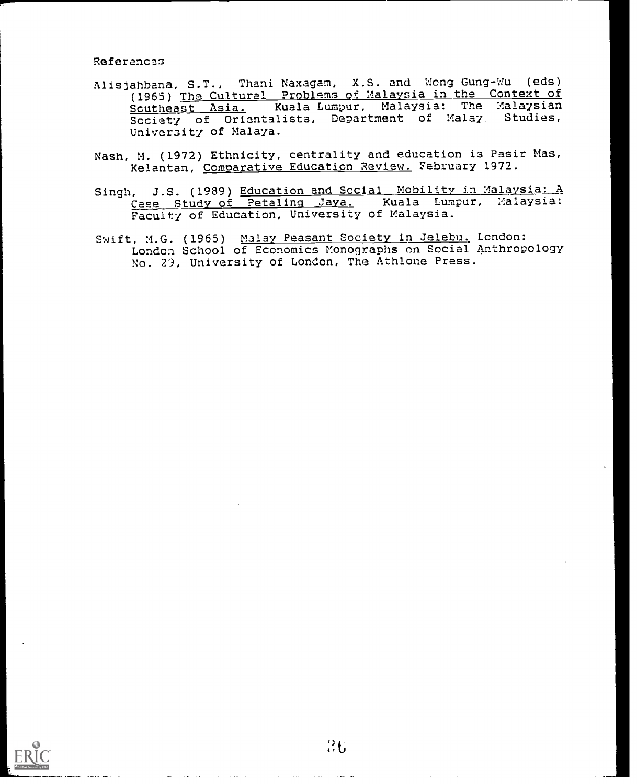Referancas

- Alisjahbana, S.T., Thani Naxagam, X.S. and Wong Gung-Wu (eds) (1965) The Cultural Problems of Malaysia in the Context of Scutheast Asia. Kuala Lumpur, Malaysia: The Malaysian Society of Orientalists, Department of Malay. Studies, Univeraity of Malaya.
- Nash, M. (1972) Ethnicity, centrality and education is Pasir Mas, Kelantan, Comoarative Education Review. February 1972.
- Singh, J.S. (1989) Education and Social Mobility in Malaysia: A Case Study of Petalinq Jaya. Kuala Lumpur, Malaysia: Faculty of Education, University of Malaysia.
- Swift, M.G. (1965) Malay Peasant Society in Jelebu. London: London School of Economics Monographs on Social Anthropology No. 29, University of London, The Athlone Press.

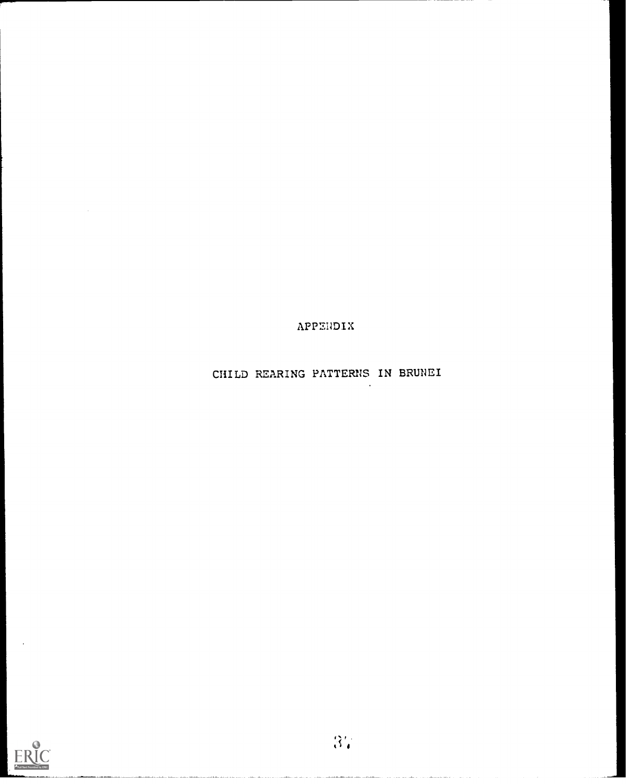APPENDIX

CHILD REARING PATTERNS IN BRUNEI

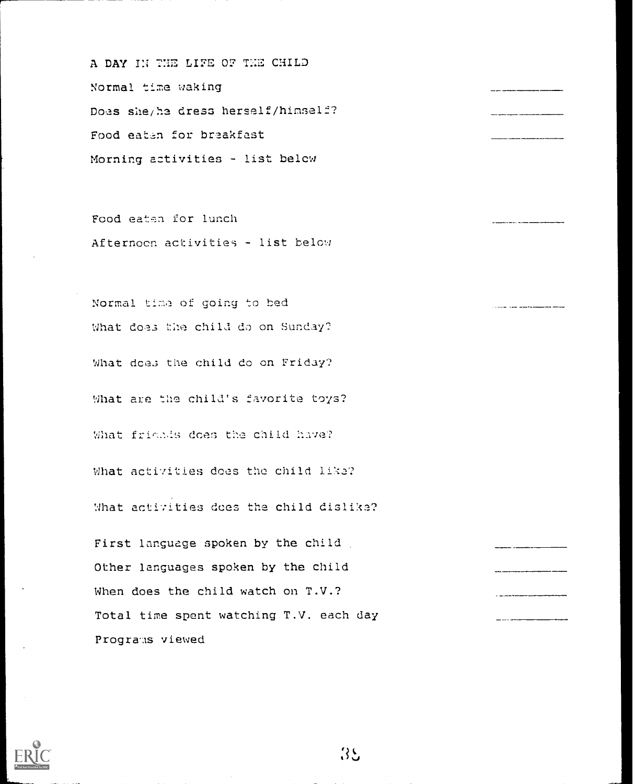A DAY IN THE LIFE OF THE CHILD Normal time waking Doas she/he dress herself/himself? Food eaten for breakfast Morning activities - list belcw

Food eaten for lunch Afternocn activities - list below

Normal time of going to bed What does the child do on Sunday? What does the child do on Friday? What are the child's favorite toys? What friends does the child have? What activities does the child like? What activities does the child dislika? First language spoken by the child Other languages spoken by the child When does the child watch on T.V.? Total time spent watching T.V. each day Programs viewed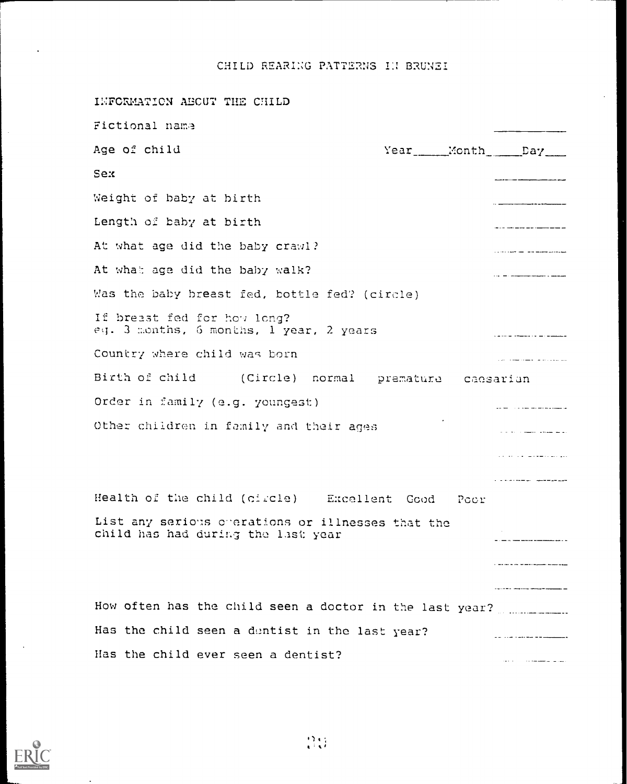CHILD REARING PATTERNS IN BRUNEI

INFORMATION AECUT THE CHILD Fictional name Age of child Year\_\_\_\_\_Month Day Sex Weight of baby at birth \_\_\_\_\_\_\_\_\_\_\_\_\_\_\_\_\_ Length of baby at birth At what age did the baby crawl?  $\sim$  . The contract component contract and  $\sim$ At what age did the baby walk?  $\cdots$  . The component of the component  $\cdots$ Was the baby breast fed, bottle fed? (circle) If breast fed for how long? eq. 3 months, 6 months, 1 year, 2 years Country where child was born المتحدث والمتحدث والمستحدث المتحدث Birth of child (Circle) normal premature caesarian Order in family (e.g. youngest) <u> 1960 - Francis Alexandria</u> Other children in family and their ages ولانط الطبعة المصطرات الحاربات الموادية والشفاء فارتداه والمداري  $\mathbf{r}$  . The contract of the contract of  $\mathbf{r}$ Health of the child (circle) Excellent Cood Pccr List any serious cherations or illnesses that the child has had during the last year  $\bar{z}$  , and a set of the set of the set of the set of the set of the set of the  $\bar{z}$  $\frac{1}{2} \left( \frac{1}{2} \right) \left( \frac{1}{2} \right) \left( \frac{1}{2} \right) \left( \frac{1}{2} \right) \left( \frac{1}{2} \right) \left( \frac{1}{2} \right) \left( \frac{1}{2} \right) \left( \frac{1}{2} \right) \left( \frac{1}{2} \right) \left( \frac{1}{2} \right) \left( \frac{1}{2} \right) \left( \frac{1}{2} \right) \left( \frac{1}{2} \right) \left( \frac{1}{2} \right) \left( \frac{1}{2} \right) \left( \frac{1}{2} \right) \left( \frac$ How often has the child seen a doctor in the last year? ......................... Has the child seen a duntist in the last year? Has the child ever seen a dentist?المتعاط المستشفات المتحدث

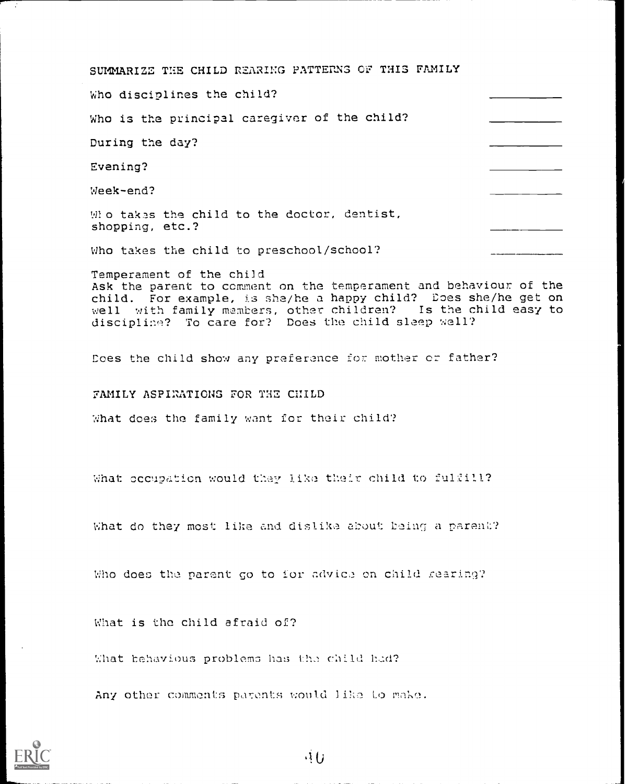SUMMARIZE THE CHILD REARING PATTERNS CF THIS FAMILY

Who disciplines the child?

Who is the principal caregiver of the child?

During the day?

Evening?

Week-end?

Who takes the child to the doctor, dentist, shopping, etc.?

Who takes the child to preschool/school?

Temperament of the child Ask the parent to comment on the temperament and behaviour of the child. For example, is she/he a happy child? Does she/he get on well with family members, other children? Is the child easy to disciplin? To care for? Does the child sleep well?

Does the child show any preference for mother or father?

FAMILY ASPIRATIONS FOR THE CHILD

What does the family want for their child?

What occupation would they like their child to fulfill?

What do they most like and dislike about being a parent?

Who does the parent go to for advice on child rearing?

What is the child afraid of?

What behavious problems has the child had?

Any other comments parents would like to make.